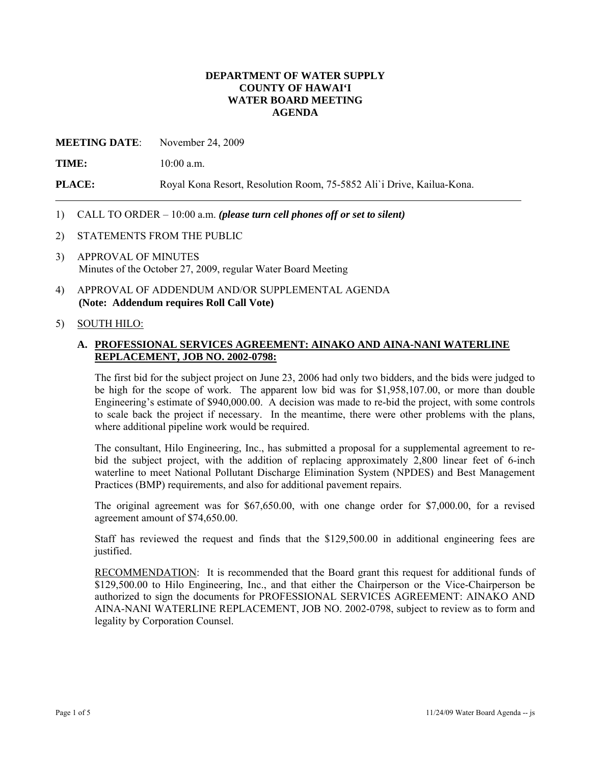### **DEPARTMENT OF WATER SUPPLY COUNTY OF HAWAI'I WATER BOARD MEETING AGENDA**

**MEETING DATE**: November 24, 2009

**TIME:** 10:00 a.m.

**PLACE:** Royal Kona Resort, Resolution Room, 75-5852 Ali`i Drive, Kailua-Kona.

### 1) CALL TO ORDER – 10:00 a.m. *(please turn cell phones off or set to silent)*

- 2) STATEMENTS FROM THE PUBLIC
- 3) APPROVAL OF MINUTES Minutes of the October 27, 2009, regular Water Board Meeting
- 4) APPROVAL OF ADDENDUM AND/OR SUPPLEMENTAL AGENDA **(Note: Addendum requires Roll Call Vote)**

#### 5) SOUTH HILO:

## **A. PROFESSIONAL SERVICES AGREEMENT: AINAKO AND AINA-NANI WATERLINE REPLACEMENT, JOB NO. 2002-0798:**

The first bid for the subject project on June 23, 2006 had only two bidders, and the bids were judged to be high for the scope of work. The apparent low bid was for \$1,958,107.00, or more than double Engineering's estimate of \$940,000.00. A decision was made to re-bid the project, with some controls to scale back the project if necessary. In the meantime, there were other problems with the plans, where additional pipeline work would be required.

The consultant, Hilo Engineering, Inc., has submitted a proposal for a supplemental agreement to rebid the subject project, with the addition of replacing approximately 2,800 linear feet of 6-inch waterline to meet National Pollutant Discharge Elimination System (NPDES) and Best Management Practices (BMP) requirements, and also for additional pavement repairs.

The original agreement was for \$67,650.00, with one change order for \$7,000.00, for a revised agreement amount of \$74,650.00.

Staff has reviewed the request and finds that the \$129,500.00 in additional engineering fees are justified.

RECOMMENDATION: It is recommended that the Board grant this request for additional funds of \$129,500.00 to Hilo Engineering, Inc., and that either the Chairperson or the Vice-Chairperson be authorized to sign the documents for PROFESSIONAL SERVICES AGREEMENT: AINAKO AND AINA-NANI WATERLINE REPLACEMENT, JOB NO. 2002-0798, subject to review as to form and legality by Corporation Counsel.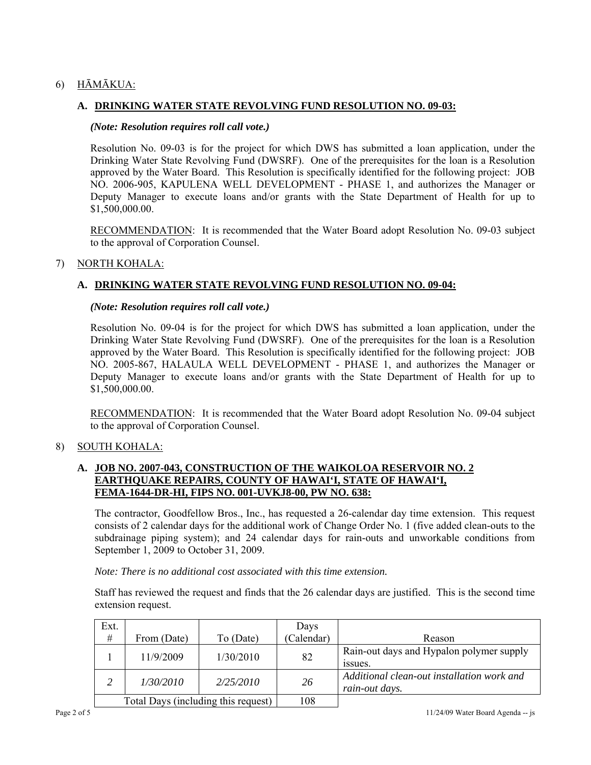# 6) HĀMĀKUA:

# **A. DRINKING WATER STATE REVOLVING FUND RESOLUTION NO. 09-03:**

#### *(Note: Resolution requires roll call vote.)*

Resolution No. 09-03 is for the project for which DWS has submitted a loan application, under the Drinking Water State Revolving Fund (DWSRF). One of the prerequisites for the loan is a Resolution approved by the Water Board. This Resolution is specifically identified for the following project: JOB NO. 2006-905, KAPULENA WELL DEVELOPMENT - PHASE 1, and authorizes the Manager or Deputy Manager to execute loans and/or grants with the State Department of Health for up to \$1,500,000.00.

RECOMMENDATION: It is recommended that the Water Board adopt Resolution No. 09-03 subject to the approval of Corporation Counsel.

### 7) NORTH KOHALA:

### **A. DRINKING WATER STATE REVOLVING FUND RESOLUTION NO. 09-04:**

#### *(Note: Resolution requires roll call vote.)*

Resolution No. 09-04 is for the project for which DWS has submitted a loan application, under the Drinking Water State Revolving Fund (DWSRF). One of the prerequisites for the loan is a Resolution approved by the Water Board. This Resolution is specifically identified for the following project: JOB NO. 2005-867, HALAULA WELL DEVELOPMENT - PHASE 1, and authorizes the Manager or Deputy Manager to execute loans and/or grants with the State Department of Health for up to \$1,500,000.00.

RECOMMENDATION: It is recommended that the Water Board adopt Resolution No. 09-04 subject to the approval of Corporation Counsel.

### 8) SOUTH KOHALA:

# **A. JOB NO. 2007-043, CONSTRUCTION OF THE WAIKOLOA RESERVOIR NO. 2 EARTHQUAKE REPAIRS, COUNTY OF HAWAI'I, STATE OF HAWAI'I, FEMA-1644-DR-HI, FIPS NO. 001-UVKJ8-00, PW NO. 638:**

The contractor, Goodfellow Bros., Inc., has requested a 26-calendar day time extension. This request consists of 2 calendar days for the additional work of Change Order No. 1 (five added clean-outs to the subdrainage piping system); and 24 calendar days for rain-outs and unworkable conditions from September 1, 2009 to October 31, 2009.

*Note: There is no additional cost associated with this time extension.* 

Staff has reviewed the request and finds that the 26 calendar days are justified. This is the second time extension request.

| Ext.                                |             |           | Days       |                                                              |
|-------------------------------------|-------------|-----------|------------|--------------------------------------------------------------|
| $\#$                                | From (Date) | To (Date) | (Calendar) | Reason                                                       |
|                                     | 11/9/2009   | 1/30/2010 | 82         | Rain-out days and Hypalon polymer supply<br>issues.          |
| 2                                   | 1/30/2010   | 2/25/2010 | 26         | Additional clean-out installation work and<br>rain-out days. |
| Total Days (including this request) |             |           | 108        |                                                              |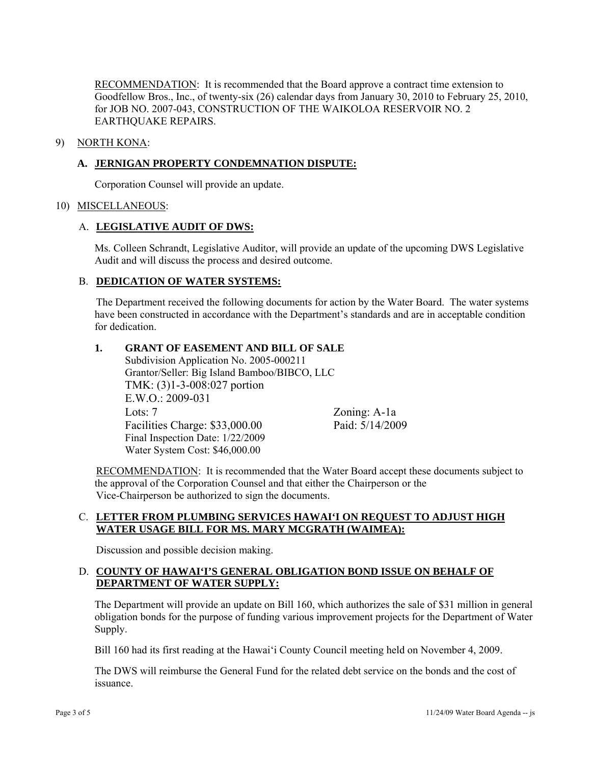RECOMMENDATION: It is recommended that the Board approve a contract time extension to Goodfellow Bros., Inc., of twenty-six (26) calendar days from January 30, 2010 to February 25, 2010, for JOB NO. 2007-043, CONSTRUCTION OF THE WAIKOLOA RESERVOIR NO. 2 EARTHQUAKE REPAIRS.

#### 9) NORTH KONA:

#### **A. JERNIGAN PROPERTY CONDEMNATION DISPUTE:**

Corporation Counsel will provide an update.

#### 10) MISCELLANEOUS:

#### A. **LEGISLATIVE AUDIT OF DWS:**

Ms. Colleen Schrandt, Legislative Auditor, will provide an update of the upcoming DWS Legislative Audit and will discuss the process and desired outcome.

#### B. **DEDICATION OF WATER SYSTEMS:**

The Department received the following documents for action by the Water Board. The water systems have been constructed in accordance with the Department's standards and are in acceptable condition for dedication.

#### **1. GRANT OF EASEMENT AND BILL OF SALE**

Subdivision Application No. 2005-000211 Grantor/Seller: Big Island Bamboo/BIBCO, LLC TMK: (3)1-3-008:027 portion E.W.O.: 2009-031 Lots: 7 Zoning: A-1a Facilities Charge: \$33,000.00 Paid: 5/14/2009 Final Inspection Date: 1/22/2009 Water System Cost: \$46,000.00

RECOMMENDATION: It is recommended that the Water Board accept these documents subject to the approval of the Corporation Counsel and that either the Chairperson or the Vice-Chairperson be authorized to sign the documents.

#### C. **LETTER FROM PLUMBING SERVICES HAWAI'I ON REQUEST TO ADJUST HIGH WATER USAGE BILL FOR MS. MARY MCGRATH (WAIMEA):**

Discussion and possible decision making.

### D. **COUNTY OF HAWAI'I'S GENERAL OBLIGATION BOND ISSUE ON BEHALF OF DEPARTMENT OF WATER SUPPLY:**

The Department will provide an update on Bill 160, which authorizes the sale of \$31 million in general obligation bonds for the purpose of funding various improvement projects for the Department of Water Supply.

Bill 160 had its first reading at the Hawai'i County Council meeting held on November 4, 2009.

The DWS will reimburse the General Fund for the related debt service on the bonds and the cost of issuance.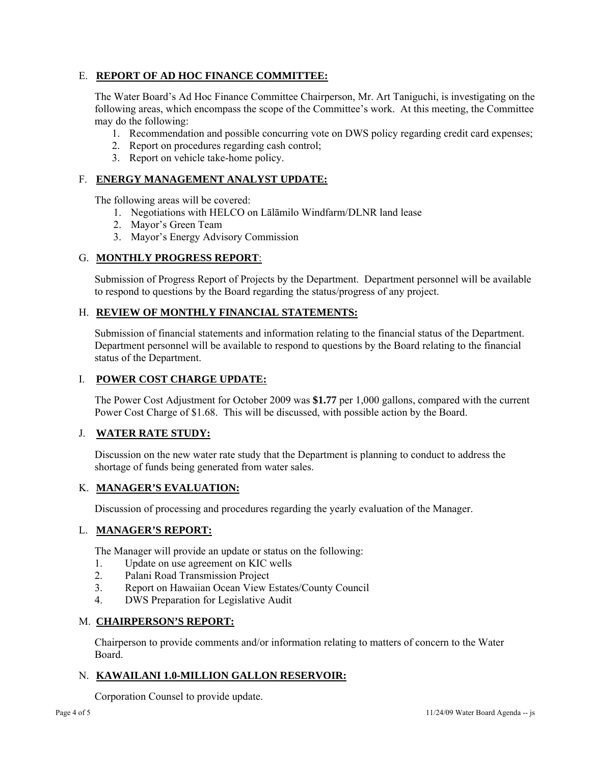# E. **REPORT OF AD HOC FINANCE COMMITTEE:**

The Water Board's Ad Hoc Finance Committee Chairperson, Mr. Art Taniguchi, is investigating on the following areas, which encompass the scope of the Committee's work. At this meeting, the Committee may do the following:

- 1. Recommendation and possible concurring vote on DWS policy regarding credit card expenses;
- 2. Report on procedures regarding cash control;
- 3. Report on vehicle take-home policy.

# F. **ENERGY MANAGEMENT ANALYST UPDATE:**

The following areas will be covered:

- 1. Negotiations with HELCO on Lālāmilo Windfarm/DLNR land lease
- 2. Mayor's Green Team
- 3. Mayor's Energy Advisory Commission

# G. **MONTHLY PROGRESS REPORT**:

Submission of Progress Report of Projects by the Department. Department personnel will be available to respond to questions by the Board regarding the status/progress of any project.

### H. **REVIEW OF MONTHLY FINANCIAL STATEMENTS:**

Submission of financial statements and information relating to the financial status of the Department. Department personnel will be available to respond to questions by the Board relating to the financial status of the Department.

## I. **POWER COST CHARGE UPDATE:**

The Power Cost Adjustment for October 2009 was **\$1.77** per 1,000 gallons, compared with the current Power Cost Charge of \$1.68. This will be discussed, with possible action by the Board.

### J. **WATER RATE STUDY:**

Discussion on the new water rate study that the Department is planning to conduct to address the shortage of funds being generated from water sales.

### K. **MANAGER'S EVALUATION:**

Discussion of processing and procedures regarding the yearly evaluation of the Manager.

### L. **MANAGER'S REPORT:**

The Manager will provide an update or status on the following:

- 1. Update on use agreement on KIC wells
- 2. Palani Road Transmission Project
- 3. Report on Hawaiian Ocean View Estates/County Council
- 4. DWS Preparation for Legislative Audit

## M. **CHAIRPERSON'S REPORT:**

Chairperson to provide comments and/or information relating to matters of concern to the Water Board.

### N. **KAWAILANI 1.0-MILLION GALLON RESERVOIR:**

Corporation Counsel to provide update.